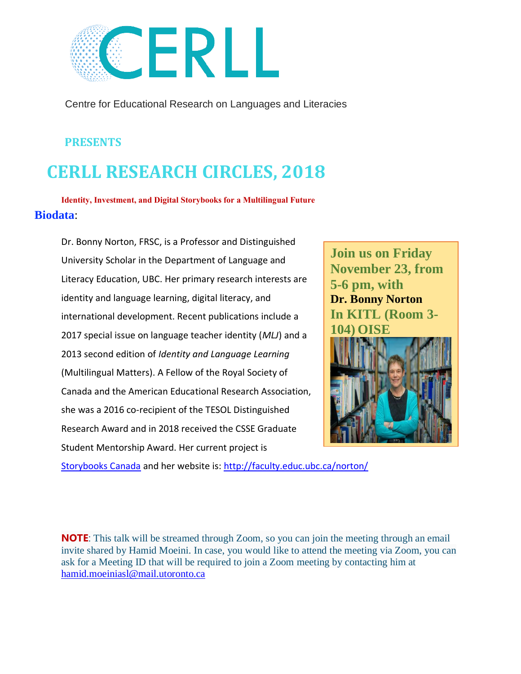

Centre for Educational Research on Languages and Literacies

## **PRESENTS**

## **CERLL RESEARCH CIRCLES, 2018**

**Identity, Investment, and Digital Storybooks for a Multilingual Future Biodata**:

Dr. Bonny Norton, FRSC, is a Professor and Distinguished University Scholar in the Department of Language and Literacy Education, UBC. Her primary research interests are identity and language learning, digital literacy, and international development. Recent publications include a 2017 special issue on language teacher identity (*MLJ*) and a 2013 second edition of *Identity and Language Learning* (Multilingual Matters). A Fellow of the Royal Society of Canada and the American Educational Research Association, she was a 2016 co-recipient of the TESOL Distinguished Research Award and in 2018 received the CSSE Graduate Student Mentorship Award. Her current project is



[Storybooks Canada](http://www.storybookscanada.ca/) and her website is:<http://faculty.educ.ubc.ca/norton/>

**NOTE:** This talk will be streamed through Zoom, so you can join the meeting through an email invite shared by Hamid Moeini. In case, you would like to attend the meeting via Zoom, you can ask for a Meeting ID that will be required to join a Zoom meeting by contacting him at [hamid.moeiniasl@mail.utoronto.ca](mailto:hamid.moeiniasl@mail.utoronto.ca)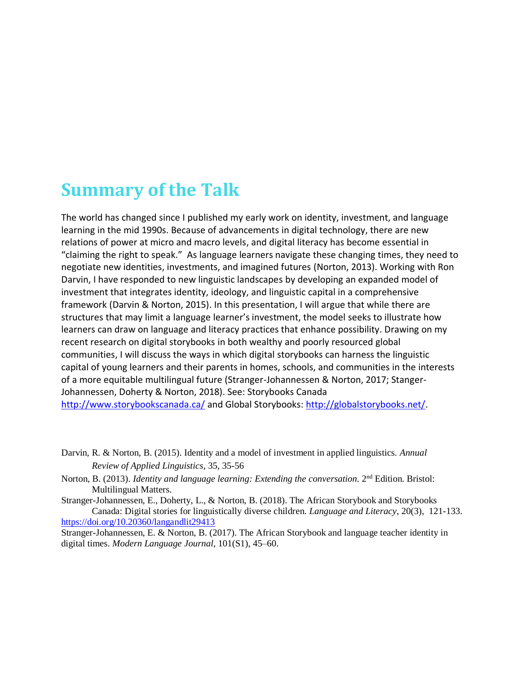## **Summary of the Talk**

The world has changed since I published my early work on identity, investment, and language learning in the mid 1990s. Because of advancements in digital technology, there are new relations of power at micro and macro levels, and digital literacy has become essential in "claiming the right to speak." As language learners navigate these changing times, they need to negotiate new identities, investments, and imagined futures (Norton, 2013). Working with Ron Darvin, I have responded to new linguistic landscapes by developing an expanded model of investment that integrates identity, ideology, and linguistic capital in a comprehensive framework (Darvin & Norton, 2015). In this presentation, I will argue that while there are structures that may limit a language learner's investment, the model seeks to illustrate how learners can draw on language and literacy practices that enhance possibility. Drawing on my recent research on digital storybooks in both wealthy and poorly resourced global communities, I will discuss the ways in which digital storybooks can harness the linguistic capital of young learners and their parents in homes, schools, and communities in the interests of a more equitable multilingual future (Stranger-Johannessen & Norton, 2017; Stanger-Johannessen, Doherty & Norton, 2018). See: Storybooks Canada <http://www.storybookscanada.ca/> and Global Storybooks: [http://globalstorybooks.net/.](http://globalstorybooks.net/)

Darvin, R. & Norton, B. (2015). Identity and a model of investment in applied linguistics. *Annual Review of Applied Linguistics*, 35, 35-56

Norton, B. (2013). *Identity and language learning: Extending the conversation*. 2<sup>nd</sup> Edition. Bristol: Multilingual Matters.

Stranger-Johannessen, E., Doherty, L., & Norton, B. (2018). The African Storybook and Storybooks Canada: Digital stories for linguistically diverse children. *Language and Literacy*, 20(3), 121-133. <https://doi.org/10.20360/langandlit29413>

Stranger-Johannessen, E. & Norton, B. (2017). The African Storybook and language teacher identity in digital times. *Modern Language Journal*, 101(S1), 45–60.